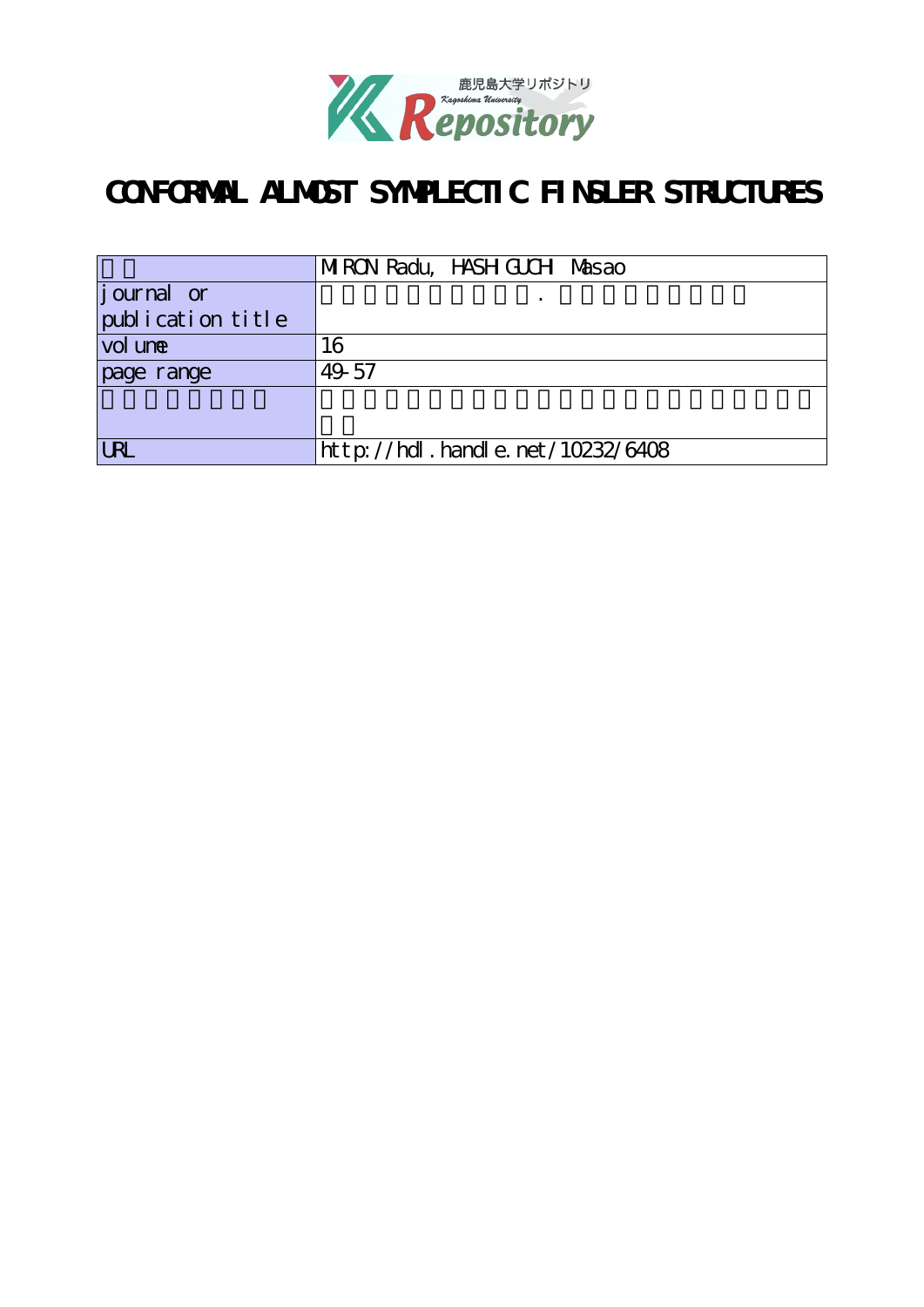

# **CONFORMAL ALMOST SYMPLECTIC FINSLER STRUCTURES**

|                    | MRON Radu, HASH GUCH Masao       |  |  |
|--------------------|----------------------------------|--|--|
| <i>j</i> ournal or |                                  |  |  |
| publication title  |                                  |  |  |
| vol une            | 16                               |  |  |
| page range         | 49-57                            |  |  |
|                    |                                  |  |  |
|                    |                                  |  |  |
|                    | http://hdl.handle.net/10232/6408 |  |  |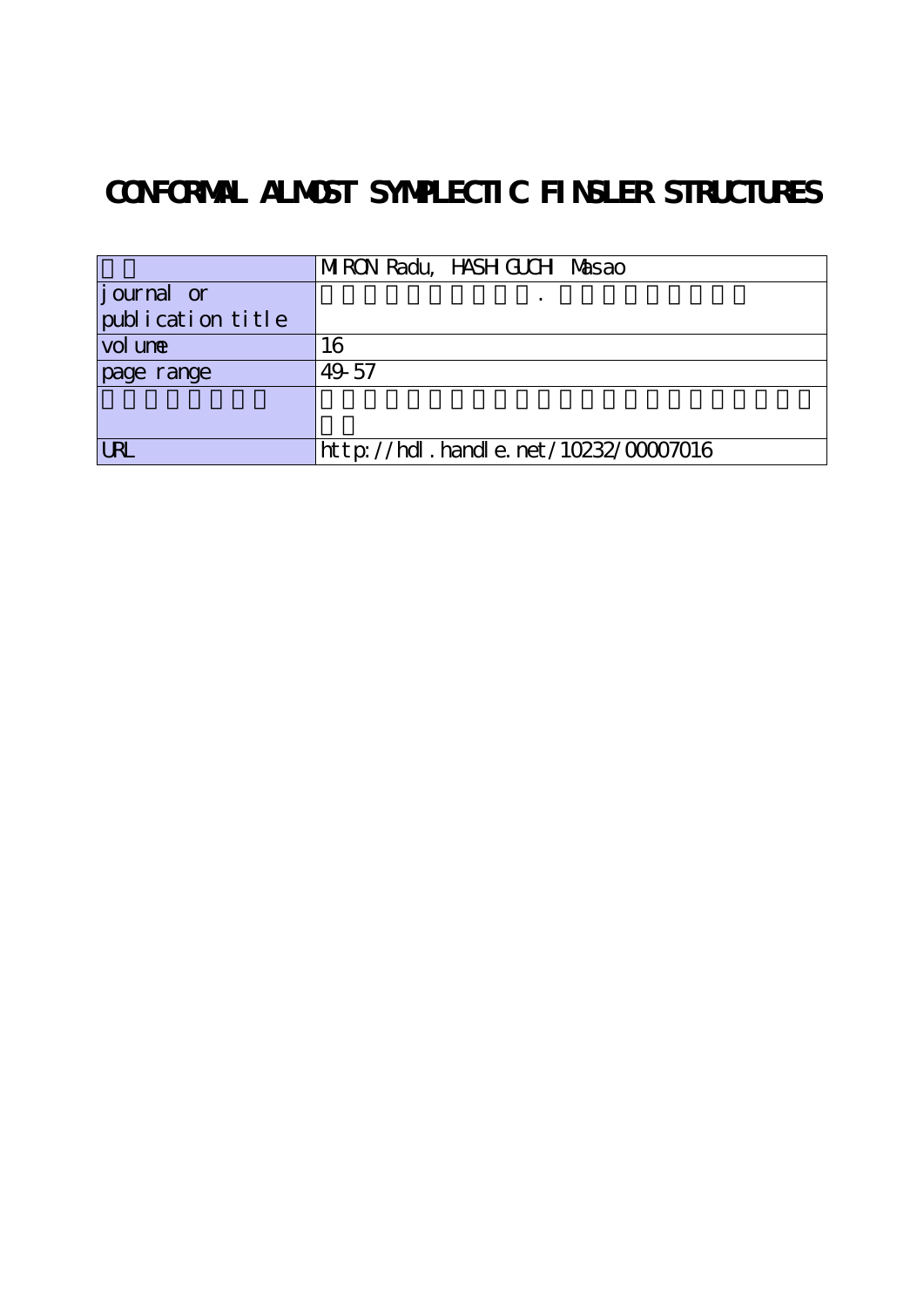# **CONFORMAL ALMOST SYMPLECTIC FINSLER STRUCTURES**

|                   | MRON Radu, HASH GUCH Masao                  |  |  |  |
|-------------------|---------------------------------------------|--|--|--|
| journal or        |                                             |  |  |  |
| publication title |                                             |  |  |  |
| vol une           | 16                                          |  |  |  |
| page range        | 49-57                                       |  |  |  |
|                   |                                             |  |  |  |
|                   |                                             |  |  |  |
| <b>URL</b>        | $http$ : //hdl. handle. net /10232/00007016 |  |  |  |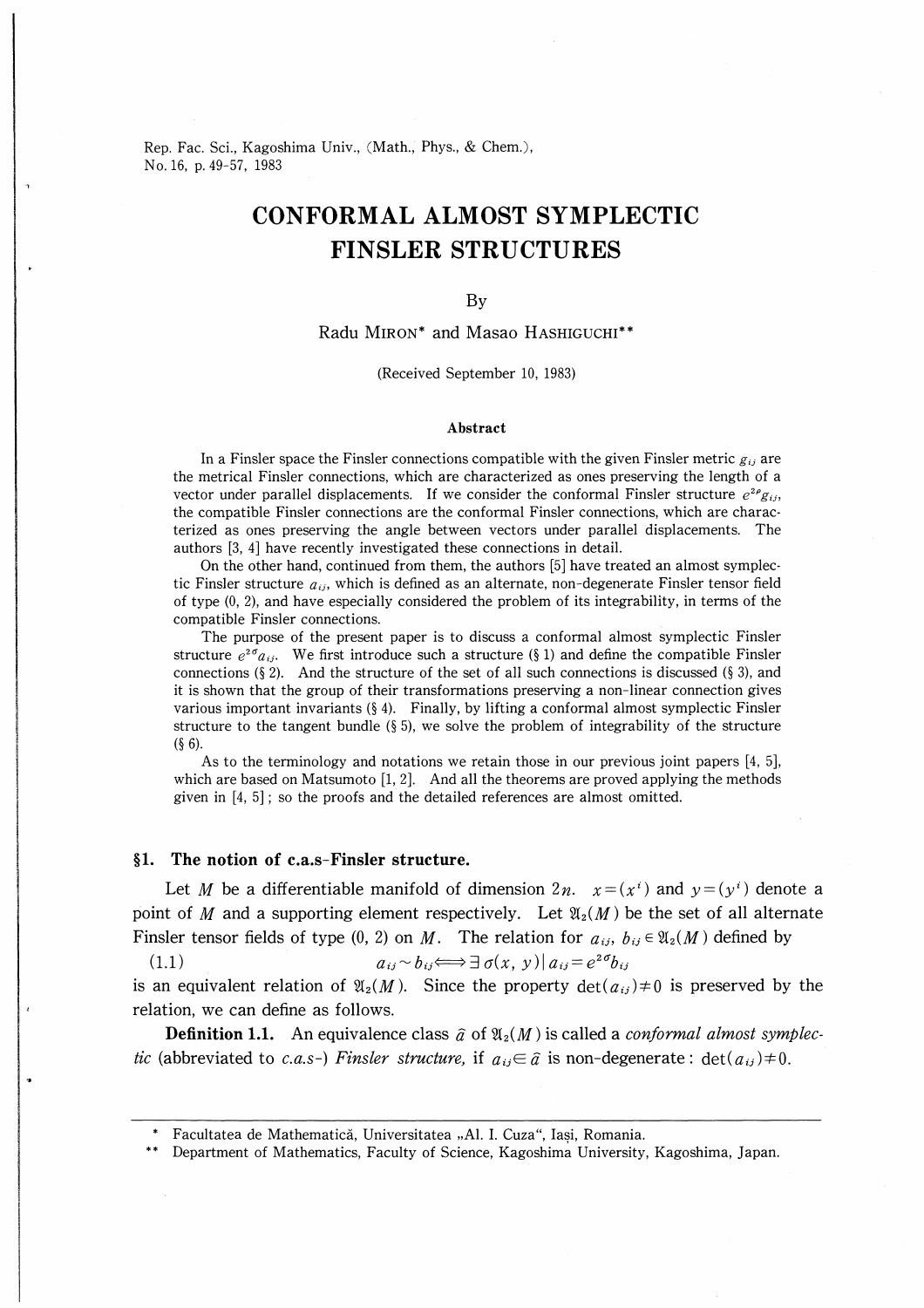Rep. Fac. Sci., Kagoshima Univ., (Math., Phys., & Chem.), No.16, p.49-57, 1983

# CONFORMAL ALMOST SYMPLECTIC FINSLER STRUCTURES

### By

Radu MIRON\* and Masao HASHIGUCHI\*\*

#### (Received September 10, 1983)

### Abstract

In a Finsler space the Finsler connections compatible with the given Finsler metric  $g_{ij}$  are the metrical Finsler connections, which are characterized as ones preserving the length of a vector under parallel displacements. If we consider the conformal Finsler structure  $e^{2\rho}g_{ij}$ , the compatible Finsler connections are the conformal Finsler connections, which are characterized as ones preserving the angle between vectors under parallel displacements. The authors [3, 4] have recently investigated these connections in detail.

On the other hand, continued from them, the authors [5] have treated an almost symplectic Finsler structure  $a_{ij}$ , which is defined as an alternate, non-degenerate Finsler tensor field of type (0, 2), and have especially considered the problem of its integrability, in terms of the compatible Finsler connections.

The purpose of the present paper is to discuss a conformal almost symplectic Finsler structure  $e^{2\sigma}a_{ij}$ . We first introduce such a structure (§ 1) and define the compatible Finsler connections (§ 2). And the structure of the set of all such connections is discussed (§ 3), and it is shown that the group of their transformations preserving a non-linear connection gives various important invariants (§ 4). Finally, by lifting a conformal almost symplectic Finsler structure to the tangent bundle ( $\S$  5), we solve the problem of integrability of the structure  $(§ 6).$ 

As to the terminology and notations we retain those in our previous joint papers [4, 5], which are based on Matsumoto  $[1, 2]$ . And all the theorems are proved applying the methods given in [4, 5] ; so the proofs and the detailed references are almost omitted.

# §1. The notion of c.a.s-Finsler structure.

Let M be a differentiable manifold of dimension  $2n$ .  $x=(x^{i})$  and  $y=(y^{i})$  denote a point of M and a supporting element respectively. Let  $\mathfrak{A}_2(M)$  be the set of all alternate Finsler tensor fields of type (0, 2) on M. The relation for  $a_{ij}$ ,  $b_{ij} \in \mathfrak{A}_2(M)$  defined by

(1.1)  $a_{ij} \sim b_{ij} \Longleftrightarrow \exists \sigma(x, y) | a_{ij} = e^{2\sigma}b_{ij}$ 

is an equivalent relation of  $\mathfrak{A}_2(M)$ . Since the property  $\det(a_{ij})\neq 0$  is preserved by the relation, we can define as follows.

**Definition 1.1.** An equivalence class  $\hat{a}$  of  $\mathfrak{A}_2(M)$  is called a *conformal almost symplec*tic (abbreviated to c.a.s-) Finsler structure, if  $a_{ij} \in \hat{a}$  is non-degenerate:  $det(a_{ij}) \neq 0$ .

Facultatea de Mathematică, Universitatea "Al. I. Cuza", Iasi, Romania.

Department of Mathematics, Faculty of Science, Kagoshima University, Kagoshima, Japan.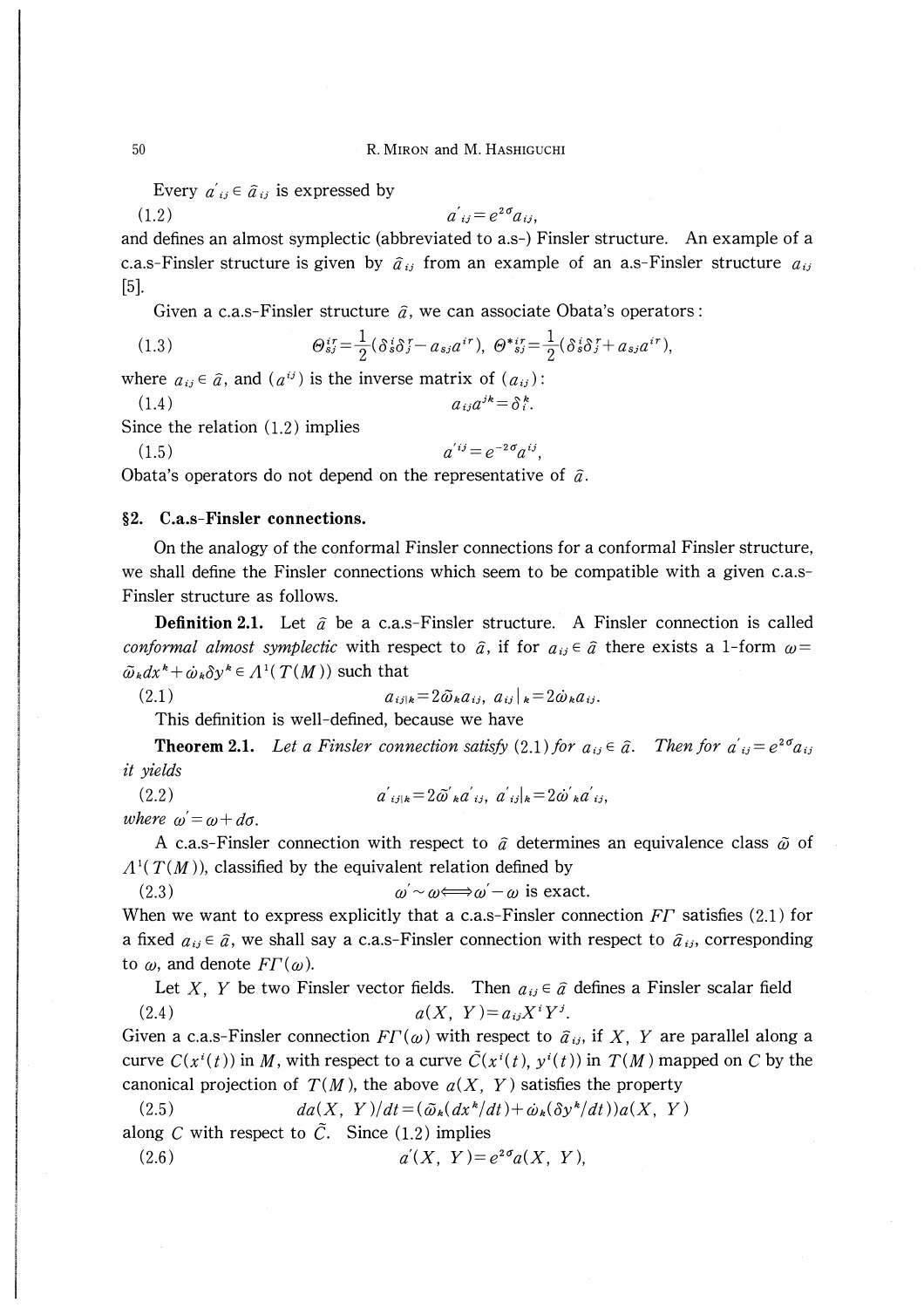Every  $a_{ij}' \in \hat{a}_{ij}$  is expressed by

$$
(1.2) \t\t a'_{ij} = e^{2\sigma} a_{ij},
$$

and defines an almost symplectic (abbreviated to a.s-) Finsler structure. An example of a c.a.s-Finsler structure is given by  $\hat{a}_{ij}$  from an example of an a.s-Finsler structure  $a_{ij}$ [5].

Given a c.a.s-Finsler structure  $\hat{a}$ , we can associate Obata's operators :

(1.3) 
$$
\Theta_{sj}^{ir} = \frac{1}{2} (\delta_s^i \delta_j^r - a_{sj} a^{ir}), \ \Theta_{sj}^{*ir} = \frac{1}{2} (\delta_s^i \delta_j^r + a_{sj} a^{ir}),
$$

where  $a_{ij} \in \hat{a}$ , and  $(a^{ij})$  is the inverse matrix of  $(a_{ij})$ :

1.4) ai3alh-∂lF.

Since the relation (1.2) implies

(1.5)  $a^{ij} = e^{-2\sigma} a^{ij}$ .

Obata's operators do not depend on the representative of  $\tilde{a}$ .

# §2. C.a.s-Finsler connections.

On the analogy of the conformal Finsler connections for a conformal Finsler structure, we shall define the Finsler connections which seem to be compatible with a given c.a.s-Finsler structure as follows.

**Definition 2.1.** Let  $\hat{a}$  be a c.a.s-Finsler structure. A Finsler connection is called conformal almost symplectic with respect to  $\hat{a}$ , if for  $a_{ij} \in \hat{a}$  there exists a 1-form  $\omega =$  $\tilde{\omega}_k dx^k + \dot{\omega}_k \delta y^k \in A^1(T(M))$  such that

$$
(2.1) \t a_{ij|k}=2\tilde{\omega}_k a_{ij}, \ a_{ij}|_k=2\dot{\omega}_k a_{ij}.
$$

This definition is well-defined, because we have

**Theorem 2.1.** Let a Finsler connection satisfy (2.1) for  $a_{ij} \in \hat{a}$ . Then for  $a'_{ij} = e^{2\sigma} a_{ij}$ it yields

(2.2) aij¥k-26dkCt a, aij¥k-2cbkdij,

where  $\omega = \omega + d\sigma$ .

A c.a.s-Finsler connection with respect to  $\hat{a}$  determines an equivalence class  $\tilde{\omega}$  of  $\Lambda^1(T(M))$ , classified by the equivalent relation defined by

(2.3) co′~a)≠=⇒co -co is exact.

When we want to express explicitly that a c.a.s-Finsler connection  $FT$  satisfies (2.1) for a fixed  $a_{ij} \in \hat{a}$ , we shall say a c.a.s-Finsler connection with respect to  $\hat{a}_{ij}$ , corresponding to  $\omega$ , and denote  $FT(\omega)$ .

Let X, Y be two Finsler vector fields. Then  $a_{ij} \in \hat{a}$  defines a Finsler scalar field (2.4) a(X, Y)-aaX'YJ.

Given a c.a.s-Finsler connection  $FT(\omega)$  with respect to  $\hat{a}_{ij}$ , if X, Y are parallel along a curve  $C(x^{i}(t))$  in M, with respect to a curve  $\tilde{C}(x^{i}(t), y^{i}(t))$  in  $T(M)$  mapped on C by the canonical projection of  $T(M)$ , the above  $a(X, Y)$  satisfies the property

(2.5) 
$$
da(X, Y)/dt = (\tilde{\omega}_k(dx^k/dt) + \dot{\omega}_k(\delta y^k/dt))a(X, Y)
$$
along C with respect to  $\tilde{C}$ . Since (1.2) implies

(2.6) a¥X, Y)-e2aa(x, Y),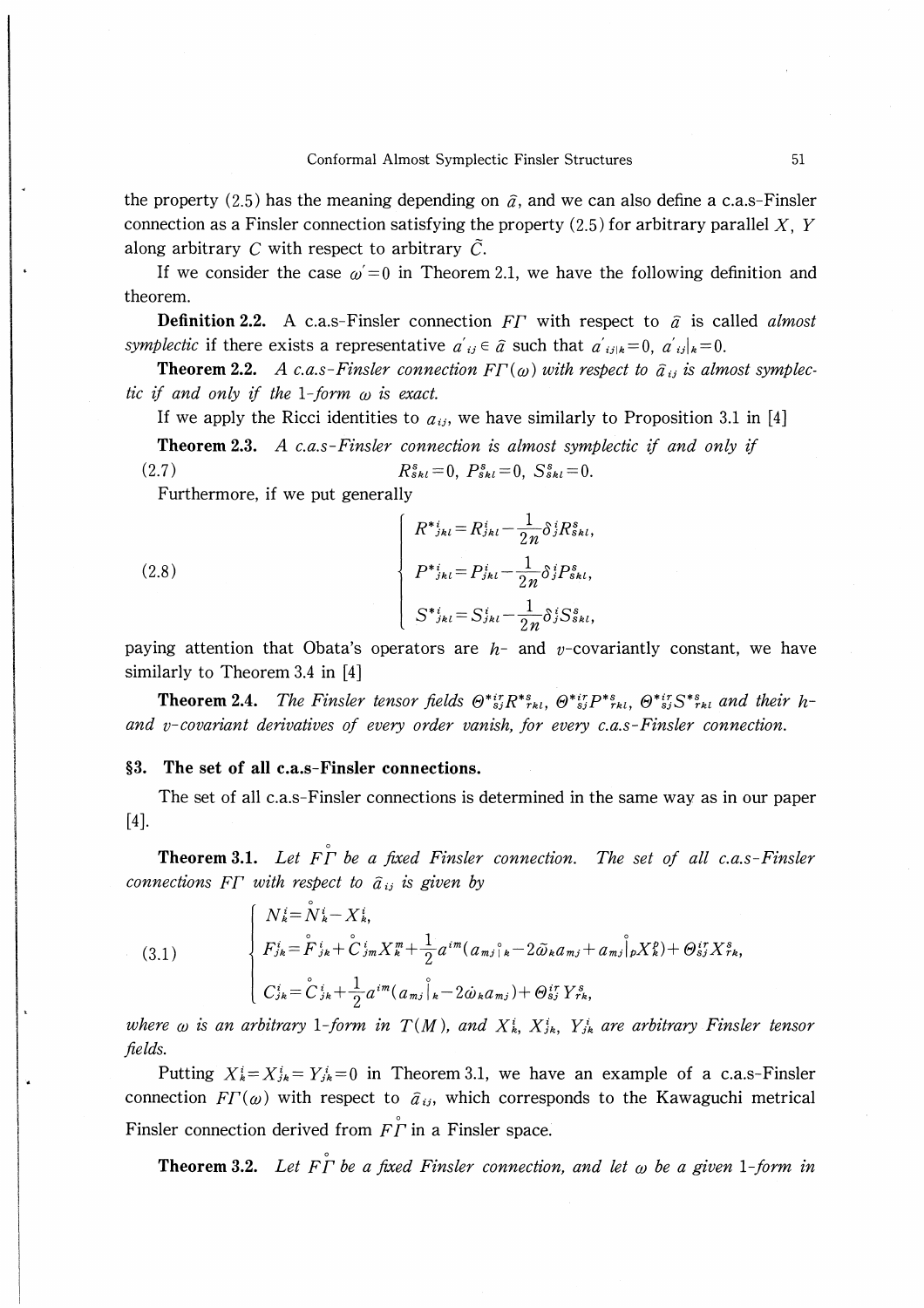the property (2.5) has the meaning depending on  $\hat{a}$ , and we can also define a c.a.s-Finsler connection as a Finsler connection satisfying the property  $(2.5)$  for arbitrary parallel X, Y along arbitrary C with respect to arbitrary  $\tilde{C}$ .

If we consider the case  $\omega = 0$  in Theorem 2.1, we have the following definition and theorem.

**Definition 2.2.** A c.a.s-Finsler connection FT with respect to  $\hat{a}$  is called *almost* symplectic if there exists a representative  $a'_{ij} \in \hat{a}$  such that  $a'_{ij|k} = 0$ ,  $a'_{ij|k} = 0$ .

**Theorem 2.2.** A c.a.s-Finsler connection  $FT(\omega)$  with respect to  $\hat{a}_{ij}$  is almost symplectic if and only if the 1-form  $\omega$  is exact.

If we apply the Ricci identities to  $a_{ij}$ , we have similarly to Proposition 3.1 in [4]

**Theorem 2.3.** A c.a.s-Finsler connection is almost symplectic if and only if  $(2.7)$  $R_{skl}^s = 0$ ,  $P_{skl}^s = 0$ ,  $S_{skl}^s = 0$ .

Furthermore, if we put generally

(2.8) 
$$
\begin{cases}\nR_{jkl}^{*} = R_{jkl}^{i} - \frac{1}{2n} \delta_{j}^{i} R_{skl}^{s}, \\
P_{jkl}^{*} = P_{jkl}^{i} - \frac{1}{2n} \delta_{j}^{i} P_{skl}^{s}, \\
S_{jkl}^{*} = S_{jkl}^{i} - \frac{1}{2n} \delta_{j}^{i} S_{skl}^{s},\n\end{cases}
$$

paying attention that Obata's operators are  $h$ - and v-covariantly constant, we have similarly to Theorem 3.4 in [4]

**Theorem 2.4.** The Finsler tensor fields  $\Theta^*{}_{s}^{ir}R^*{}_{rkl}$ ,  $\Theta^*{}_{s}^{ir}P^*{}_{rkl}$ ,  $\Theta^*{}_{s}^{ir}S^*{}_{rkl}$  and their hand v-covariant derivatives of every order vanish, for every  $c.a.s$ -Finsler connection.

## §3. The set of all c.a.s-Finsler connections.

The set of all c.a.s-Finsler connections is determined in the same way as in our paper  $[4]$ .

**Theorem 3.1.** Let  $\overrightarrow{FT}$  be a fixed Finsler connection. The set of all c.a.s-Finsler connections F $\Gamma$  with respect to  $\hat{a}_{ij}$  is given by

(3.1) 
$$
\begin{cases} N_{k}^{i} = N_{k}^{i} - X_{k}^{i}, \\ F_{jk}^{i} = \overset{\circ}{F}_{jk}^{i} + \overset{\circ}{C}_{jm}^{i} X_{k}^{m} + \frac{1}{2} a^{im} (a_{mj})_{k}^{i} - 2 \tilde{\omega}_{k} a_{mj} + a_{mj} \overset{\circ}{|}_{p} X_{k}^{p}) + \Theta_{sj}^{ir} X_{rk}^{s}, \\ C_{jk}^{i} = \overset{\circ}{C}_{jk}^{i} + \frac{1}{2} a^{im} (a_{mj})_{k}^{i} - 2 \dot{\omega}_{k} a_{mj} + \Theta_{sj}^{ir} Y_{rk}^{s}, \end{cases}
$$

where  $\omega$  is an arbitrary 1-form in  $T(M)$ , and  $X^i_{k}$ ,  $X^i_{jk}$ ,  $Y^i_{jk}$  are arbitrary Finsler tensor fields.

Putting  $X_k^i = X_{jk}^i = Y_{jk}^i = 0$  in Theorem 3.1, we have an example of a c.a.s-Finsler connection  $FT(\omega)$  with respect to  $\hat{a}_{ij}$ , which corresponds to the Kawaguchi metrical Finsler connection derived from  $F\Gamma$  in a Finsler space.

**Theorem 3.2.** Let  $\overrightarrow{F}$  be a fixed Finsler connection, and let  $\omega$  be a given 1-form in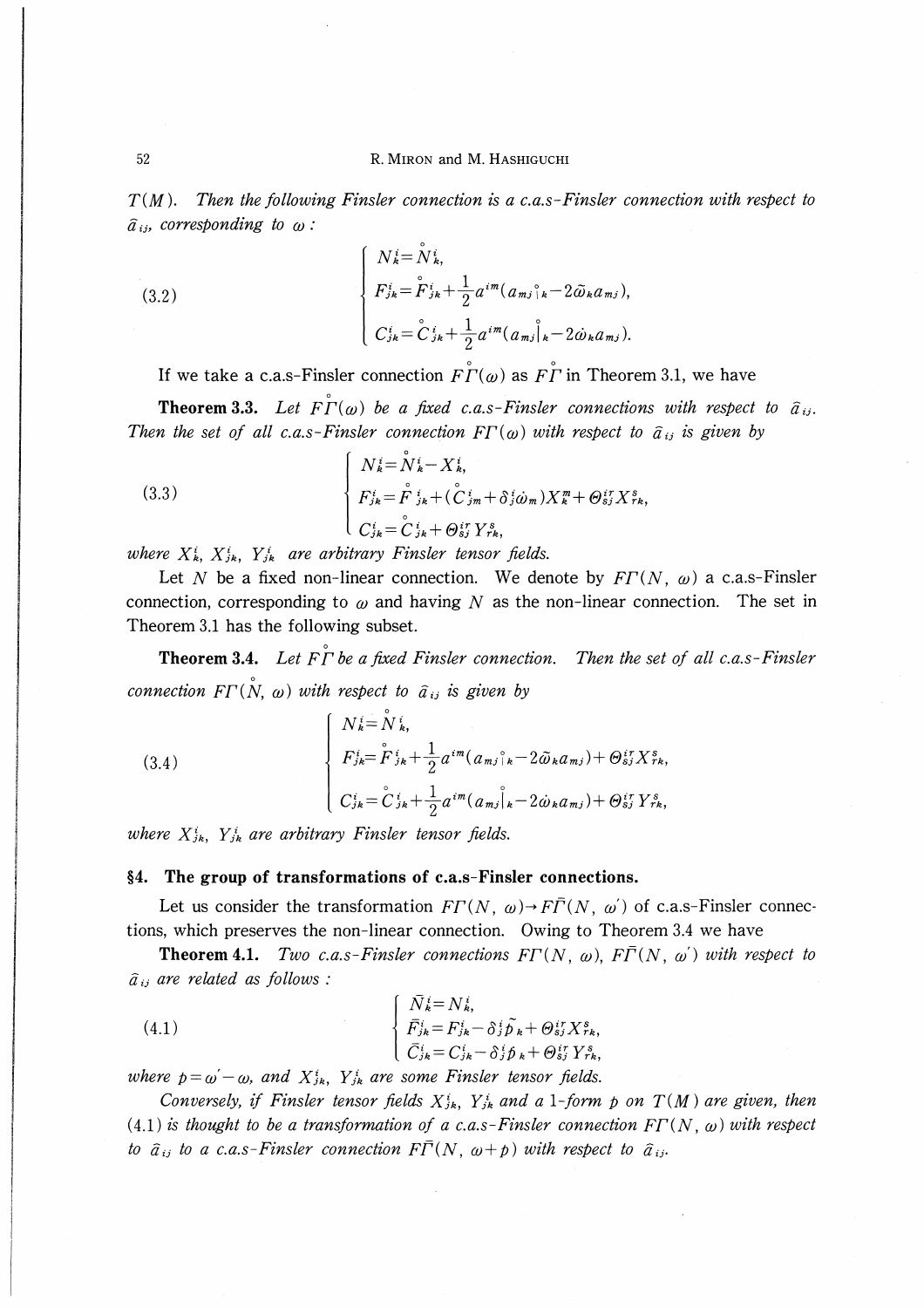$T(M)$ . Then the following Finsler connection is a c.a.s-Finsler connection with respect to  $\hat{a}_{ij}$ , corresponding to  $\omega$ :

(3.2) 
$$
\begin{cases} N_{k}^{i} = N_{k}^{i}, \\ F_{j k}^{i} = \mathring{F}_{j k}^{i} + \frac{1}{2} a^{i m} (a_{m j}{}^{\circ}_{k} - 2 \tilde{\omega}_{k} a_{m j}), \\ C_{j k}^{i} = \mathring{C}_{j k}^{i} + \frac{1}{2} a^{i m} (a_{m j}{}^{\circ}_{k} - 2 \dot{\omega}_{k} a_{m j}). \end{cases}
$$

If we take a c.a.s-Finsler connection  $F\overset{\circ}{\Gamma}(\omega)$  as  $F\overset{\circ}{\Gamma}$  in Theorem 3.1, we have

**Theorem 3.3.** Let  $\overline{F\Gamma}(\omega)$  be a fixed c.a.s-Finsler connections with respect to  $\hat{a}_{ij}$ . Then the set of all c.a.s-Finsler connection  $FT(\omega)$  with respect to  $\hat{a}_{ij}$  is given by

(3.3) 
$$
\begin{cases} N_{k}^{i} = N_{k}^{i} - X_{k}^{i}, \\ F_{jk}^{i} = \overset{\circ}{F}_{jk}^{i} + (\overset{\circ}{C}_{jm}^{i} + \delta_{j}^{i} \dot{\omega}_{m}) X_{k}^{m} + \Theta_{sj}^{i \tau} X_{rk}^{s}, \\ C_{jk}^{i} = \overset{\circ}{C}_{jk}^{i} + \Theta_{sj}^{i \tau} Y_{rk}^{s}, \end{cases}
$$

where  $X_k^i$ ,  $X_{jk}^i$ ,  $Y_{jk}^i$  are arbitrary Finsler tensor fields.

0

Let N be a fixed non-linear connection. We denote by  $FT(N, \omega)$  a c.a.s-Finsler connection, corresponding to  $\omega$  and having N as the non-linear connection. The set in Theorem 3.1 has the following subset.

**Theorem 3.4.** Let  $\overrightarrow{F\Gamma}$  be a fixed Finsler connection. Then the set of all c.a.s-Finsler connection F $\Gamma(\stackrel{\circ}{N}, \omega)$  with respect to  $\widehat{a}_{ij}$  is given by

(3.4)  $N^{\,i}_{\,k}$   $=$   $N^{\,i}_{\,k}$  $F_{jk}=F_{jk}+\frac{1}{2}a^{im}(a_{mj})_k-2\omega_k a_{mj})+\Theta_{sj}^N X_{rk},$ 0  $C_{jk}=C_{jk}+\frac{1}{2}a^{im}(a_{mj}|_k-2\omega_k a_{mj})+\Theta_{sj}$  Y rk  $\circ$  1  $\circ$ 

where  $X_{jk}^i$ ,  $Y_{jk}^i$  are arbitrary Finsler tensor fields.

# §4. The group of transformations of c.a.s-Finsler connections.

Let us consider the transformation  $FT(N, \omega) \rightarrow F\overline{T}(N, \omega')$  of c.a.s-Finsler connections, which preserves the non-linear connection. Owing to Theorem 3.4 we have

**Theorem 4.1.** Two c.a.s-Finsler connections  $FT(N, \omega)$ ,  $F\overline{\Gamma}(N, \omega')$  with respect to  $\hat{a}_{ij}$  are related as follows :

(4.1) 
$$
\begin{cases} \bar{N}_{k}^{i} = N_{k}^{i}, \\ \bar{F}_{j k}^{i} = F_{j k}^{i} - \delta_{j}^{i} \tilde{p}_{k} + \Theta_{s j}^{i r} X_{r k}^{s}, \\ \bar{C}_{j k}^{i} = C_{j k}^{i} - \delta_{j}^{i} \tilde{p}_{k} + \Theta_{s j}^{i r} Y_{r k}^{s}, \end{cases}
$$

where  $p = \omega - \omega$ , and  $X_{jk}^i$ ,  $Y_{jk}^i$  are some Finsler tensor fields.

Conversely, if Finsler tensor fields  $X_{jk}^i$ ,  $Y_{jk}^i$  and a 1-form p on  $T(M)$  are given, then (4.1) is thought to be a transformation of a c.a.s-Finsler connection  $FT(N, \omega)$  with respect to  $\hat{a}_{ij}$  to a c.a.s-Finsler connection  $F\overline{\Gamma}(N, \omega + p)$  with respect to  $\hat{a}_{ij}$ .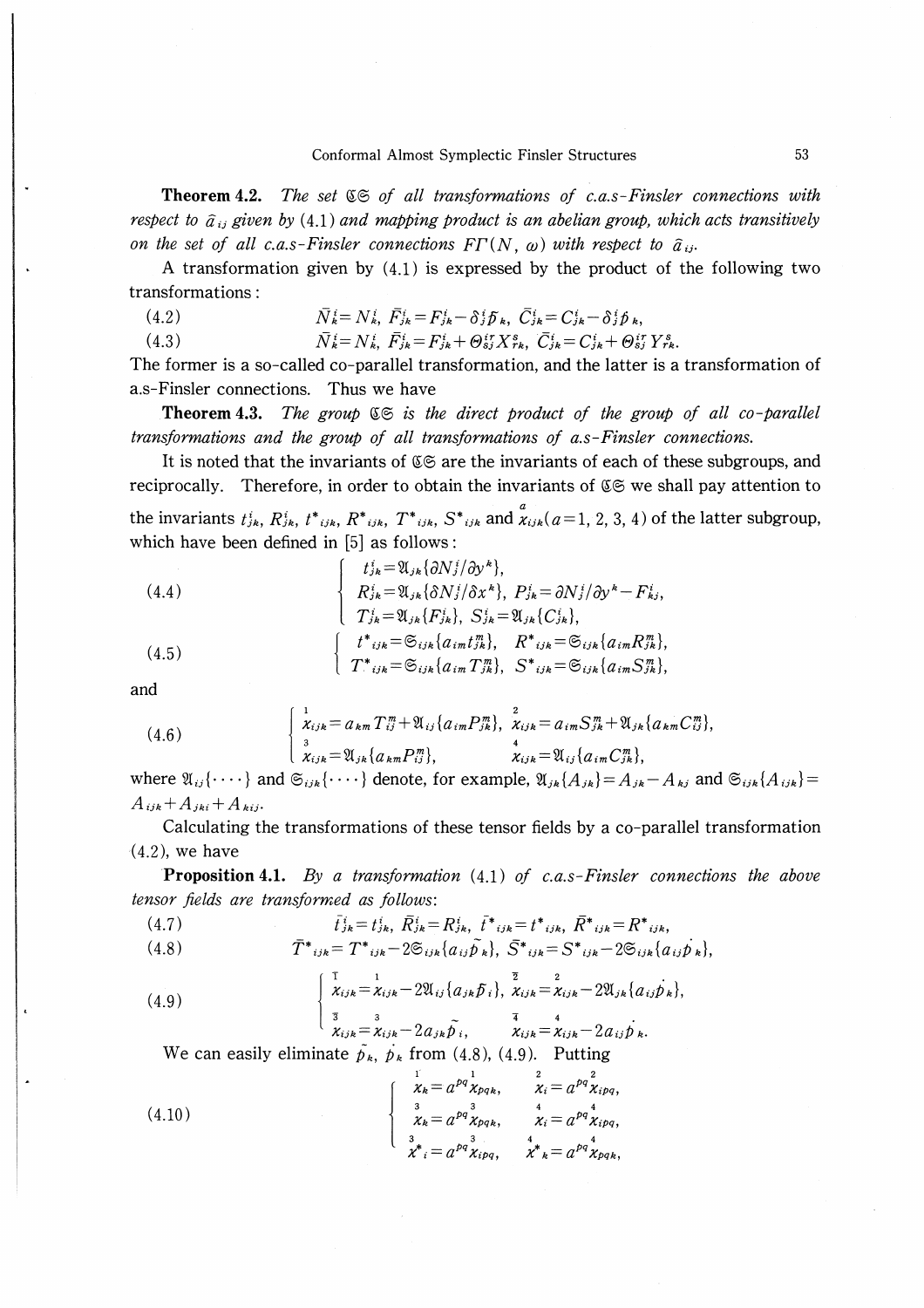Theorem 4.2. The set  $\mathfrak{S}$  of all transformations of c.a.s-Finsler connections with respect to  $\hat{a}_{ij}$  given by (4.1) and mapping product is an abelian group, which acts transitively on the set of all c.a.s-Finsler connections  $FT(N, \omega)$  with respect to  $\hat{a}_{ij}$ .

A transformation given by  $(4.1)$  is expressed by the product of the following two transformations:

 $\bar{N}_{k}^{i} = N_{k}^{i}, \ \bar{F}_{ik}^{i} = F_{ik}^{i} - \delta_{i}^{i} \bar{b}_{k}, \ \bar{C}_{ik}^{i} = C_{ik}^{i} - \delta_{i}^{i} \bar{b}_{k}$  $(4.2)$  $\bar{N}_k^i = N_k^i$ ,  $\bar{F}_{jk}^i = F_{jk}^i + \Theta_{sj}^{ir} X_{rk}^s$ ,  $\bar{C}_{jk}^i = C_{jk}^i + \Theta_{sj}^{ir} Y_{rk}^s$ .  $(4.3)$ 

The former is a so-called co-parallel transformation, and the latter is a transformation of a.s-Finsler connections. Thus we have

**Theorem 4.3.** The group  $\mathfrak{S}$  is the direct product of the group of all co-parallel transformations and the group of all transformations of a.s-Finsler connections.

It is noted that the invariants of  $\mathfrak{C} \mathfrak{S}$  are the invariants of each of these subgroups, and reciprocally. Therefore, in order to obtain the invariants of  $\mathfrak{C} \mathfrak{S}$  we shall pay attention to the invariants  $t_{jk}^i$ ,  $R_{jk}^i$ ,  $t_{ijk}^i$ ,  $R_{ijk}^i$ ,  $T_{ijk}^i$ ,  $S_{ijk}^i$  and  $\chi_{ijk}^a$  ( $a=1, 2, 3, 4$ ) of the latter subgroup, which have been defined in [5] as follows:

(4.4)  
\n
$$
\begin{cases}\nt_{jk}^{i} = \mathfrak{A}_{jk} \{\partial N_{j}^{i}/\partial y^{k}\}, \\
R_{jk}^{i} = \mathfrak{A}_{jk} \{\partial N_{j}^{i}/\partial x^{k}\}, P_{jk}^{i} = \partial N_{j}^{i}/\partial y^{k} - F_{kj}^{i}, \\
T_{jk}^{i} = \mathfrak{A}_{jk} \{F_{jk}^{i}\}, S_{jk}^{i} = \mathfrak{A}_{jk} \{C_{jk}^{i}\}, \\
t^{*}_{ijk} = \mathfrak{S}_{ijk} \{a_{im} t_{jk}^{m}\}, R^{*}_{ijk} = \mathfrak{S}_{ijk} \{a_{im} R_{jk}^{m}\}, \\
T^{*}_{ijk} = \mathfrak{S}_{ijk} \{a_{im} T_{jk}^{m}\}, S^{*}_{ijk} = \mathfrak{S}_{ijk} \{a_{im} S_{jk}^{m}\},\n\end{cases}
$$

and

(4.6) 
$$
\begin{cases} 1 \\ \chi_{ijk} = a_{km} T_{ij}^m + \mathfrak{A}_{ij} \{ a_{im} P_{jk}^m \}, \ \chi_{ijk} = a_{im} S_{jk}^m + \mathfrak{A}_{jk} \{ a_{km} C_{ij}^m \}, \\ 3 \\ \chi_{ijk} = \mathfrak{A}_{jk} \{ a_{km} P_{ij}^m \}, \ \chi_{ijk} = \mathfrak{A}_{ij} \{ a_{im} C_{jk}^m \}, \end{cases}
$$

where  $\mathfrak{A}_{ij}\{\cdots\}$  and  $\mathfrak{S}_{ijk}\{\cdots\}$  denote, for example,  $\mathfrak{A}_{jk}\{A_{jk}\}=A_{jk}-A_{kj}$  and  $\mathfrak{S}_{ijk}\{A_{ijk}\}=$  $A_{ijk}+A_{jki}+A_{kij}.$ 

Calculating the transformations of these tensor fields by a co-parallel transformation  $(4.2)$ , we have

**Proposition 4.1.** By a transformation  $(4.1)$  of c.a.s-Finsler connections the above tensor fields are transformed as follows:

(4.7) 
$$
\bar{t}_{jk}^i = t_{jk}^i, \ \bar{R}_{jk}^i = R_{jk}^i, \ \bar{t}^*{}_{ijk} = t^*{}_{ijk}, \ \bar{R}^*{}_{ijk} = R^*{}_{ijk},
$$

$$
(4.8) \t\t \bar{T}^*_{ijk} = T^*_{ijk} - 2 \mathfrak{S}_{ijk} \{ a_{ij} \tilde{p}_k \}, \ \bar{S}^*_{ijk} = S^*_{ijk} - 2 \mathfrak{S}_{ijk} \{ a_{ij} \tilde{p}_k \}
$$

(4.9) 
$$
\begin{cases} \frac{1}{\chi_{ijk}} = \chi_{ijk} - 2\mathfrak{A}_{ij} \{a_{jk} \tilde{p}_i\}, \frac{z}{\chi_{ijk}} = \chi_{ijk} - 2\mathfrak{A}_{jk} \{a_{ij} \dot{p}_k\}, \\ \frac{z}{\chi_{ijk}} = \chi_{ijk} - 2a_{jk} \tilde{p}_i, \frac{z}{\chi_{ijk}} = \chi_{ijk} - 2a_{ij} \dot{p}_k. \end{cases}
$$

We can easily eliminate  $\tilde{p}_k$ ,  $p_k$  from (4.8), (4.9). Putting

(4.10) 
$$
\begin{cases} \n\frac{1}{\chi_k} = a^{pq} \frac{1}{\chi_{pq_k}}, & \frac{2}{\chi_i} = a^{pq} \frac{1}{\chi_{ipq}},\\ \n\frac{3}{\chi_k} = a^{pq} \frac{1}{\chi_{pq_k}}, & \frac{4}{\chi_i} = a^{pq} \frac{1}{\chi_{ipq}},\\ \n\frac{3}{\chi^*} = a^{pq} \frac{3}{\chi_{ipq}}, & \chi^* = a^{pq} \frac{1}{\chi_{pq_k}}, \n\end{cases}
$$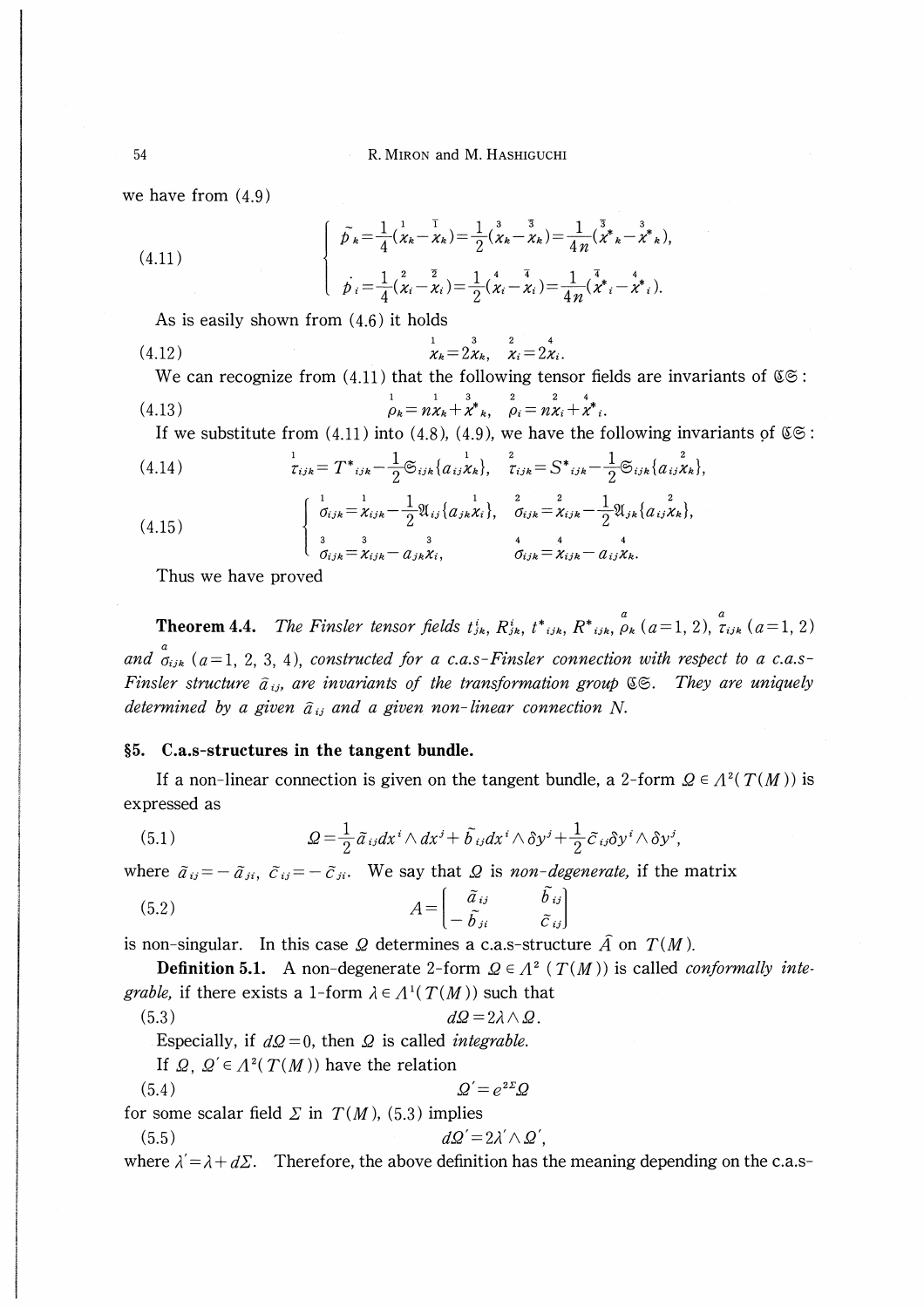we have from (4.9)

(4.11) 
$$
\begin{cases} \tilde{p}_{k} = \frac{1}{4} (\chi_{k} - \chi_{k}) = \frac{1}{2} (\chi_{k} - \chi_{k}) = \frac{1}{4 n} (\tilde{\chi}_{k}^{*} - \tilde{\chi}_{k}^{*}), \\ \dot{p}_{i} = \frac{1}{4} (\chi_{i} - \chi_{i}) = \frac{1}{2} (\chi_{i} - \chi_{i}) = \frac{1}{4 n} (\chi_{k}^{*} - \chi_{k}^{*}). \end{cases}
$$

As is easily shown from (4.6) it holds

(4.12) 
$$
\begin{array}{ccc}\n & & & & & 1 & 3 & 2 & 4 \\
\chi_k = 2\chi_k, & \chi_i = 2\chi_i.\n\end{array}
$$

We can recognize from (4.11) that the following tensor fields are invariants of  $\mathfrak{C} \circ \mathfrak{S}$ :

(4.13) 
$$
\rho_k = n\chi_k + \chi^*_{k}, \quad \rho_i = n\chi_i + \chi^*_{i}.
$$

If we substitute from (4.11) into (4.8), (4.9), we have the following invariants of  $\mathfrak{CS}$ :

(4.14) 
$$
\tau_{ijk} = T^*{}_{ijk} - \frac{1}{2} \mathfrak{S}_{ijk} \{ a_{ij} \chi_k \}, \quad \frac{2}{\tau_{ijk}} = S^*{}_{ijk} - \frac{1}{2} \mathfrak{S}_{ijk} \{ a_{ij} \chi_k \},
$$

$$
\begin{cases} \frac{1}{\sigma_{ijk}} = \frac{1}{\chi_{ijk}} - \frac{1}{2} \mathfrak{A}_{ij} \{ a_{jk} \chi_i \}, \quad \frac{2}{\sigma_{ijk}} = \frac{2}{\chi_{ijk}} - \frac{1}{2} \mathfrak{A}_{jk} \{ a_{ij} \chi_k \}, \\ \frac{3}{\sigma_{ijk}} = \chi_{ijk} - a_{jk} \chi_i, \quad \frac{4}{\sigma_{ijk}} = \chi_{ijk} - a_{ij} \chi_k. \end{cases}
$$

Thus we have proved

α α **Theorem 4.4.** The Finsler tensor fields  $t_{jk}$ ,  $R_{jk}$ ,  $t_{ijk}$ ,  $R_{ijk}$ ,  $\rho_k$  ( $a=1, 2$ ),  $\tau_{ijk}$  ( $a=1, 2$ ) and  $\sigma_{ijk}$  (a=1, 2, 3, 4), constructed for a c.a.s-Finsler connection with respect to a c.a.s-Finsler structure  $\hat{a}_{ij}$ , are invariants of the transformation group  $\mathfrak{C} \mathfrak{S}$ . They are uniquely determined by a given  $\hat{a}_{ij}$  and a given non-linear connection N.

# 5. C.a.s-structures in the tangent bundle.

If a non-linear connection is given on the tangent bundle, a 2-form  $Q \in A^2(T(M))$  is expressed as

(5.1) 
$$
Q = \frac{1}{2} \tilde{a}_{ij} dx^{i} \wedge dx^{j} + \tilde{b}_{ij} dx^{i} \wedge \delta y^{j} + \frac{1}{2} \tilde{c}_{ij} \delta y^{i} \wedge \delta y^{j}
$$

where  $\tilde{a}_{ij}=-\tilde{a}_{ji}$ ,  $\tilde{c}_{ij}=-\tilde{c}_{ji}$ . We say that  $\Omega$  is non-degenerate, if the matrix

(5.2) 
$$
A = \begin{bmatrix} \tilde{a}_{ij} & \tilde{b}_{ij} \\ -\tilde{b}_{ji} & \tilde{c}_{ij} \end{bmatrix}
$$

is non-singular. In this case Q determines a c.a.s-structure  $\hat{A}$  on  $T(M)$ .

**Definition 5.1.** A non-degenerate 2-form  $Q \in \Lambda^2$  ( $T(M)$ ) is called *conformally integrable*, if there exists a 1-form  $\lambda \in \Lambda^1(T(M))$  such that

(5.3) dQ-2A∧B.

Especially, if  $dQ = 0$ , then  $Q$  is called *integrable*.

If  $\Omega$ ,  $\Omega' \in \Lambda^2(T(M))$  have the relation

$$
(5.4) \t\t\t\t\tQ' = e^{2\Sigma} \mathcal{Q}
$$

for some scalar field  $\Sigma$  in  $T(M)$ , (5.3) implies

$$
(5.5) \t\t d\Omega' = 2\lambda' \wedge \Omega'
$$

where  $\lambda = \lambda + d\Sigma$ . Therefore, the above definition has the meaning depending on the c.a.s-

54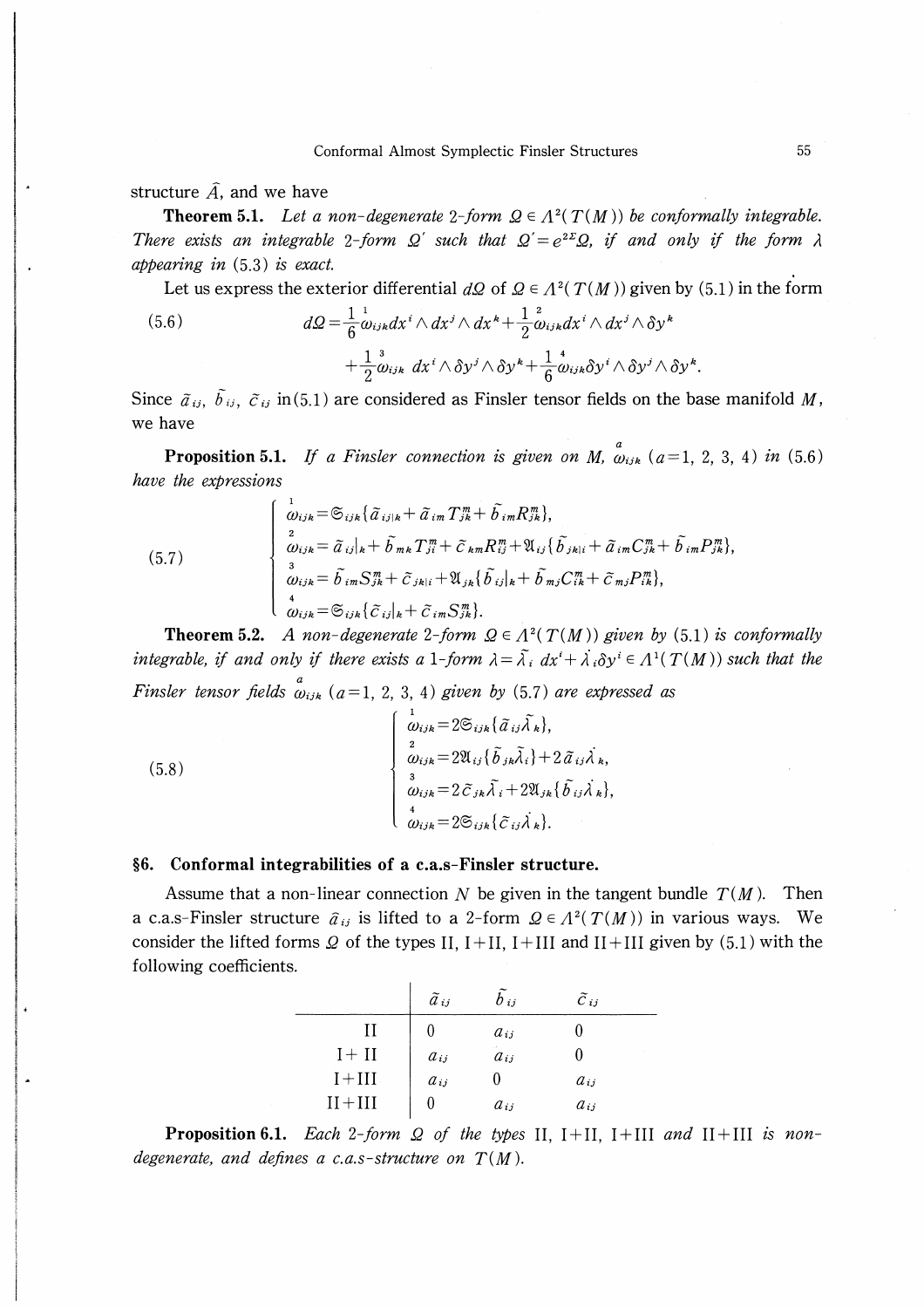structure  $\hat{A}$ , and we have

**Theorem 5.1.** Let a non-degenerate 2-form  $\Omega \in \Lambda^2(T(M))$  be conformally integrable. There exists an integrable 2-form  $\Omega'$  such that  $\Omega' = e^{2\Sigma}\Omega$ , if and only if the form  $\lambda$ appearing in  $(5.3)$  is exact.

Let us express the exterior differential  $d\Omega$  of  $\Omega \in \Lambda^2(T(M))$  given by (5.1) in the form

(5.6) 
$$
d\Omega = \frac{1}{6} \omega_{ijkl} dx^i \wedge dx^j \wedge dx^k + \frac{1}{2} \omega_{ijkl} dx^i \wedge dx^j \wedge \delta y^k + \frac{1}{2} \omega_{ijk} dx^i \wedge \delta y^j \wedge \delta y^k + \frac{1}{6} \omega_{ijk} \delta y^i \wedge \delta y^j \wedge \delta y^k.
$$

Since  $\tilde{a}_{ij}$ ,  $\tilde{b}_{ij}$ ,  $\tilde{c}_{ij}$  in (5.1) are considered as Finsler tensor fields on the base manifold M, we have

**Proposition 5.1.** If a Finsler connection is given on M,  $\omega_{ijk}$  (a=1, 2, 3, 4) in (5.6) have the expressions

(5.7) 
$$
\begin{cases} \n\frac{1}{\omega_{ijk}} = \mathfrak{S}_{ijk} \{ \tilde{a}_{ij|k} + \tilde{a}_{im} T_{jk}^{m} + \tilde{b}_{im} R_{jk}^{m} \},\\ \n\frac{2}{\omega_{ijk}} = \tilde{a}_{ij|k} + \tilde{b}_{mk} T_{ji}^{m} + \tilde{c}_{km} R_{ij}^{m} + \mathfrak{A}_{ij} \{ \tilde{b}_{jkl} + \tilde{a}_{im} C_{jk}^{m} + \tilde{b}_{im} P_{jk}^{m} \},\\ \n\frac{2}{\omega_{ijk}} = \tilde{b}_{im} S_{jk}^{m} + \tilde{c}_{jkl} + \mathfrak{A}_{jk} \{ \tilde{b}_{ij|k} + \tilde{b}_{mj} C_{ik}^{m} + \tilde{c}_{mj} P_{ik}^{m} \},\\ \n\frac{4}{\omega_{ijk}} = \mathfrak{S}_{ijk} \{ \tilde{c}_{ij|k} + \tilde{c}_{im} S_{jk}^{m} \}. \n\end{cases}
$$

**Theorem 5.2.** A non-degenerate 2-form  $\Omega \in \Lambda^2(T(M))$  given by (5.1) is conformally integrable, if and only if there exists a 1-form  $\lambda = \tilde{\lambda}_i dx^i + \lambda_i \delta y^i \in A^1(T(M))$  such that the Finsler tensor fields  $\omega_{ijk}$  (a=1, 2, 3, 4) given by (5.7) are expressed as

 $(5.8)$ 

$$
\begin{cases}\n\frac{1}{\omega_{ijk}} = 2 \mathfrak{S}_{ijk} {\{\tilde{a}_{ij} \tilde{\lambda}_{k}\}}, \\
\frac{2}{\omega_{ijk}} = 2 \mathfrak{A}_{ij} {\{\tilde{b}_{jk} \tilde{\lambda}_{i}\}} + 2 \tilde{a}_{ij} \lambda_{k}, \\
\frac{3}{\omega_{ijk}} = 2 \tilde{c}_{jk} \tilde{\lambda}_{i} + 2 \mathfrak{A}_{jk} {\{\tilde{b}_{ij} \lambda_{k}\}}, \\
\frac{4}{\omega_{ijk}} = 2 \mathfrak{S}_{ijk} {\{\tilde{c}_{ij} \lambda_{k}\}}.\n\end{cases}
$$

# §6. Conformal integrabilities of a c.a.s-Finsler structure.

Assume that a non-linear connection N be given in the tangent bundle  $T(M)$ . Then a c.a.s-Finsler structure  $\hat{a}_{ij}$  is lifted to a 2-form  $\Omega \in \Lambda^2(T(M))$  in various ways. We consider the lifted forms  $\Omega$  of the types II, I+II, I+III and II+III given by (5.1) with the following coefficients.

|            | $\tilde{a}$ ij | $b_{ij}$ | $\tilde{C}_{ij}$ |
|------------|----------------|----------|------------------|
|            |                | $a_{ij}$ |                  |
| $I+II$     | $a_{ij}$       | $a_{ij}$ |                  |
| $I + III$  | $a_{ij}$       |          | $a_{ij}$         |
| $II + III$ |                | $a_{ij}$ | $a_{ij}$         |

**Proposition 6.1.** Each 2-form  $\Omega$  of the types II, I+II, I+III and II+III is nondegenerate, and defines a c.a.s-structure on  $T(M)$ .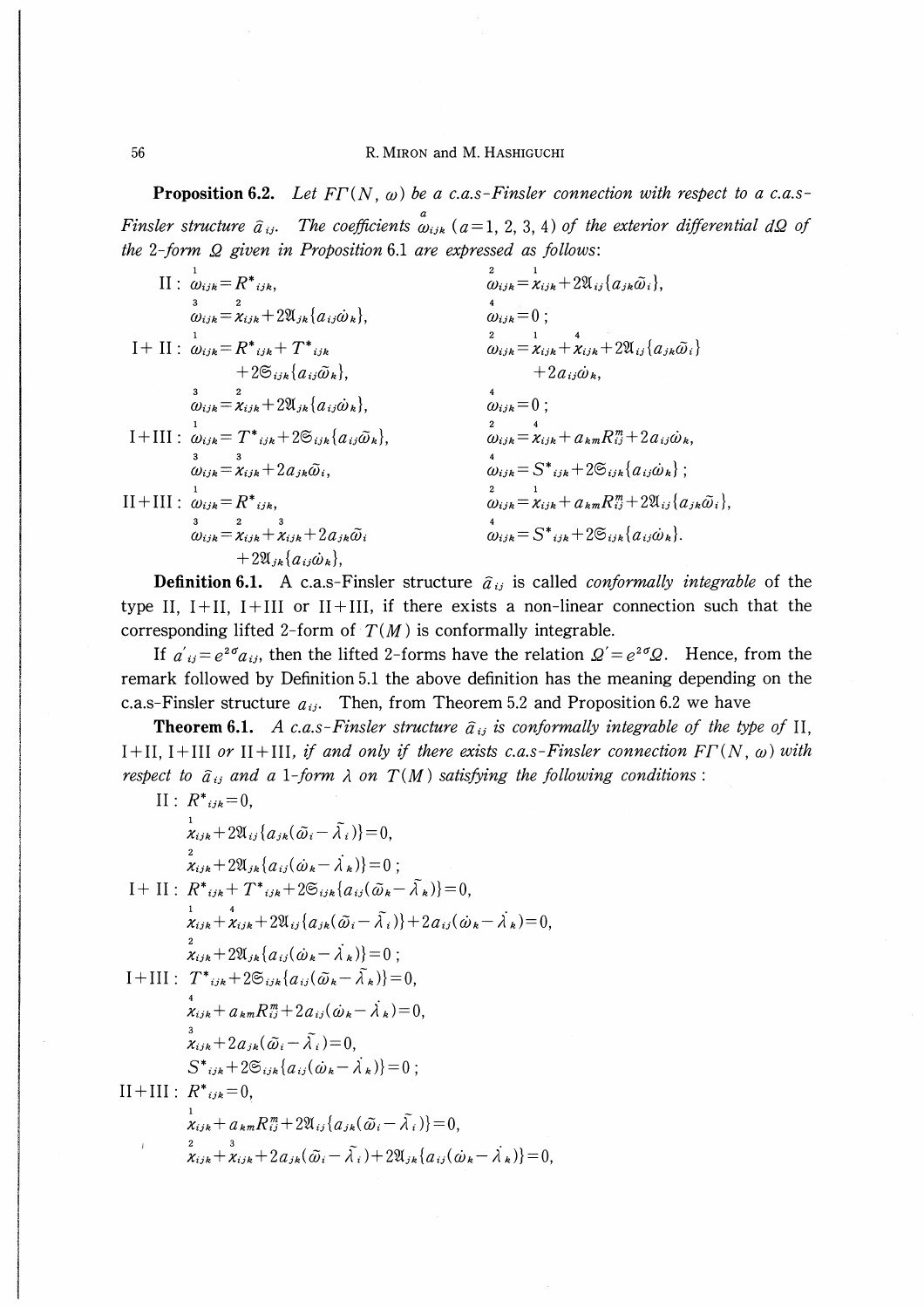**Proposition 6.2.** Let  $FT(N, \omega)$  be a c.a.s-Finsler connection with respect to a c.a.s-Finsler structure  $\hat{a}_{ij}$ . The coefficients  $\hat{a}_{ijk}$  (a=1, 2, 3, 4) of the exterior differential dQ of the 2-form  $\Omega$  given in Proposition 6.1 are expressed as follows:

1  $II: \omega_{ijk}=R^*_{ijk}$  $\overline{3}$   $\overline{2}$  $\omega_{ijk} = \chi_{ijk} + 2\mathfrak{A}_{jk}\{a_{ij}\omega_k\}$  $\mathrm{I} + \mathrm{II}$  :  $\stackrel{\scriptscriptstyle1}{\omega_{ijk}} = R^*{}_{ijk} + T^*{}_{ijk}$  $+ 2 \mathfrak{S}_{ijk} \{a_{ij} \tilde{\omega}_k\},\$ 3 2  $\omega_{ijk} = x_{ijk} + 2\mathfrak{A}_{jk} \{a_{ij}\omega_k\}$  $\mathrm{I+III:\ \stackrel{1}{\omega}_{ijk}=T^{*}}_{ijk}+2\mathfrak{S}_{ijk}\{a_{ij}\tilde{\omega}_{k}\}}$ 3 3  $\omega_{ijk} = \chi_{ijk} + 2a_{jk}\tilde{\omega}_i,$ II + III :  $\omega_{ijk} = R^*{}_{ijk}$ , 3 2 3  $\omega_{ijk} = \chi_{ijk} + \chi_{ijk} + 2a_{jk}\tilde{\omega}_i$  $+ 2\mathfrak{A}_{jk}\{a_{ij}\dot{\omega}_k\},\$ 2 1  $\omega_{ijk} = \chi_{ijk} + 2\mathfrak{A}_{ij}\{a_{jk}\tilde{\omega}_i\},\,$ 4  $\omega_{ijk}=0$  ; 2 1 4  $\omega_{ijk} = \chi_{ijk} + \chi_{ijk} + 2\mathfrak{A}_{ij} \{a_{jk}\omega_i\}$  $+2a_{ii}\dot{\omega}_k$ 4  $\omega_{ijk}=0$  ; 2 4  $\omega_{ijk}=\chi_{ijk}+ a_{km}R_{ij}^{m}+2a_{ij}\dot{\omega}_{k}$ 4  $\omega_{ijk} = S^*{}_{ijk}+2\mathfrak{S}_{ijk}\{a_{ij}\omega_k\}$ ; 2 1  $\omega_{ijk} = \chi_{ijk} + a_{km}R_{ij}^m + 2\mathfrak{A}_{ij}\{a_{jk}\tilde{\omega}_i\}$  $\omega_{ijk} = S^*{}_{ijk} + 2\mathfrak{S}_{ijk} \{a_{ij}\dot{\omega}_k\}.$ 

**Definition 6.1.** A c.a.s-Finsler structure  $\hat{a}_{ij}$  is called *conformally integrable* of the type II,  $I+II$ ,  $I+III$  or  $II+III$ , if there exists a non-linear connection such that the corresponding lifted 2-form of  $T(M)$  is conformally integrable.

If  $a_{ij}=e^{2\sigma}a_{ij}$ , then the lifted 2-forms have the relation  $Q' = e^{2\sigma}Q$ . Hence, from the remark followed by Definition 5.1 the above definition has the meaning depending on the c.a.s-Finsler structure  $a_{ij}$ . Then, from Theorem 5.2 and Proposition 6.2 we have

**Theorem 6.1.** A c.a.s-Finsler structure  $\hat{a}_{ij}$  is conformally integrable of the type of II, I+II, I+III or II+III, if and only if there exists c.a.s-Finsler connection  $FT(N, \omega)$  with respect to  $\hat{a}_{ij}$  and a 1-form  $\lambda$  on  $T(M)$  satisfying the following conditions :

II: 
$$
R^*_{ijk}=0
$$
,  
\n
$$
\frac{1}{\chi_{ijk}}+2\mathfrak{A}_{ij}\{\alpha_{jk}(\tilde{\omega}_{i}-\tilde{\lambda}_{i})\}=0,
$$
\n
$$
\frac{2}{\chi_{ijk}}+2\mathfrak{A}_{jk}\{\alpha_{ij}(\omega_{k}-\lambda_{k})\}=0;
$$
\nI+ II:  $R^*_{ijk}+T^*_{ijk}+2\mathfrak{S}_{ijk}\{\alpha_{ij}(\tilde{\omega}_{k}-\tilde{\lambda}_{k})\}=0,$   
\n
$$
\frac{1}{\chi_{ijk}}+\frac{4}{\chi_{ijk}}+2\mathfrak{A}_{ij}\{\alpha_{jk}(\tilde{\omega}_{i}-\tilde{\lambda}_{i})\}+2\alpha_{ij}(\omega_{k}-\lambda_{k})=0,
$$
\n
$$
\frac{2}{\chi_{ijk}}+2\mathfrak{A}_{jk}\{\alpha_{ij}(\omega_{k}-\lambda_{k})\}=0;
$$
\nI+III:  $T^*_{ijk}+2\mathfrak{S}_{ijk}\{\alpha_{ij}(\tilde{\omega}_{k}-\tilde{\lambda}_{k})\}=0,$   
\n
$$
\frac{4}{\chi_{ijk}}+a_{km}R^m_{ij}+2a_{ij}(\omega_{k}-\lambda_{k})=0,
$$
\n
$$
\frac{3}{\chi_{ijk}}+2a_{jk}(\tilde{\omega}_{i}-\tilde{\lambda}_{i})=0,
$$
\nS\*<sub>ijk</sub>+2\mathfrak{S}\_{ijk}\{\alpha\_{ij}(\omega\_{k}-\lambda\_{k})\}=0;\nII+III:  $R^*_{ijk}=0,$   
\n
$$
\frac{1}{\chi_{ijk}}+a_{km}R^m_{ij}+2\mathfrak{A}_{ij}\{\alpha_{jk}(\tilde{\omega}_{i}-\tilde{\lambda}_{i})\}=0,
$$
\n
$$
\frac{2}{\chi_{ijk}}+\frac{3}{\chi_{ijk}}+2a_{jk}(\tilde{\omega}_{i}-\tilde{\lambda}_{i})+2\mathfrak{A}_{jk}\{\alpha_{ij}(\omega_{k}-\lambda_{k})\}=0,
$$